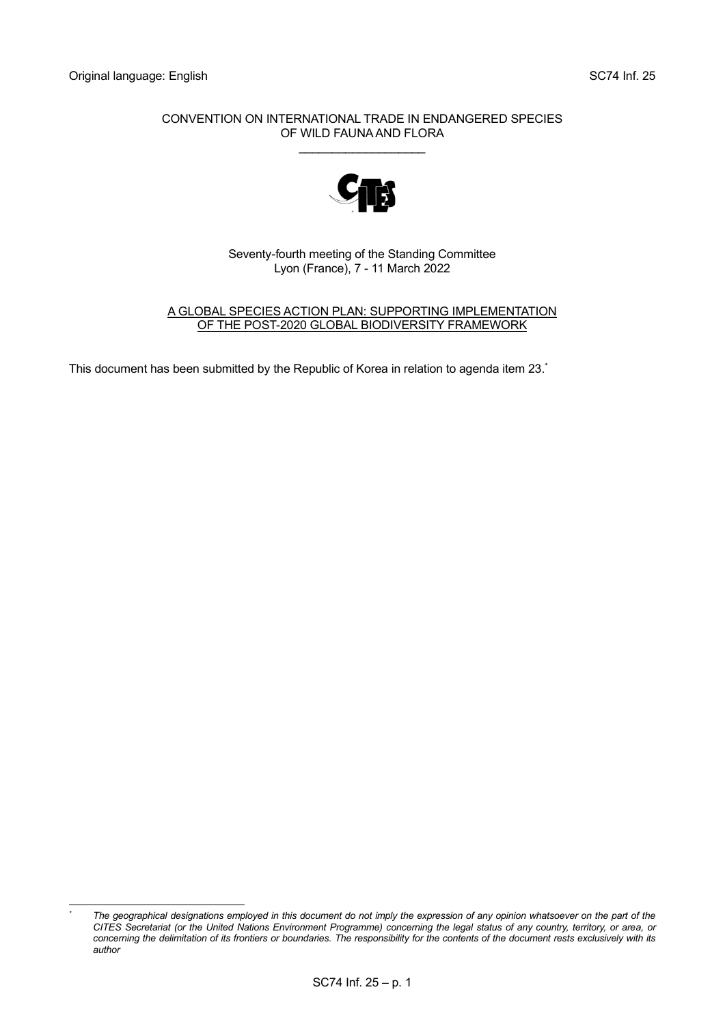#### CONVENTION ON INTERNATIONAL TRADE IN ENDANGERED SPECIES OF WILD FAUNA AND FLORA

\_\_\_\_\_\_\_\_\_\_\_\_\_\_\_\_\_\_\_



Seventy-fourth meeting of the Standing Committee Lyon (France), 7 - 11 March 2022

A GLOBAL SPECIES ACTION PLAN: SUPPORTING IMPLEMENTATION OF THE POST-2020 GLOBAL BIODIVERSITY FRAMEWORK

This document has been submitted by the Republic of Korea in relation to agenda item 23.\*

*<sup>\*</sup> The geographical designations employed in this document do not imply the expression of any opinion whatsoever on the part of the CITES Secretariat (or the United Nations Environment Programme) concerning the legal status of any country, territory, or area, or concerning the delimitation of its frontiers or boundaries. The responsibility for the contents of the document rests exclusively with its author*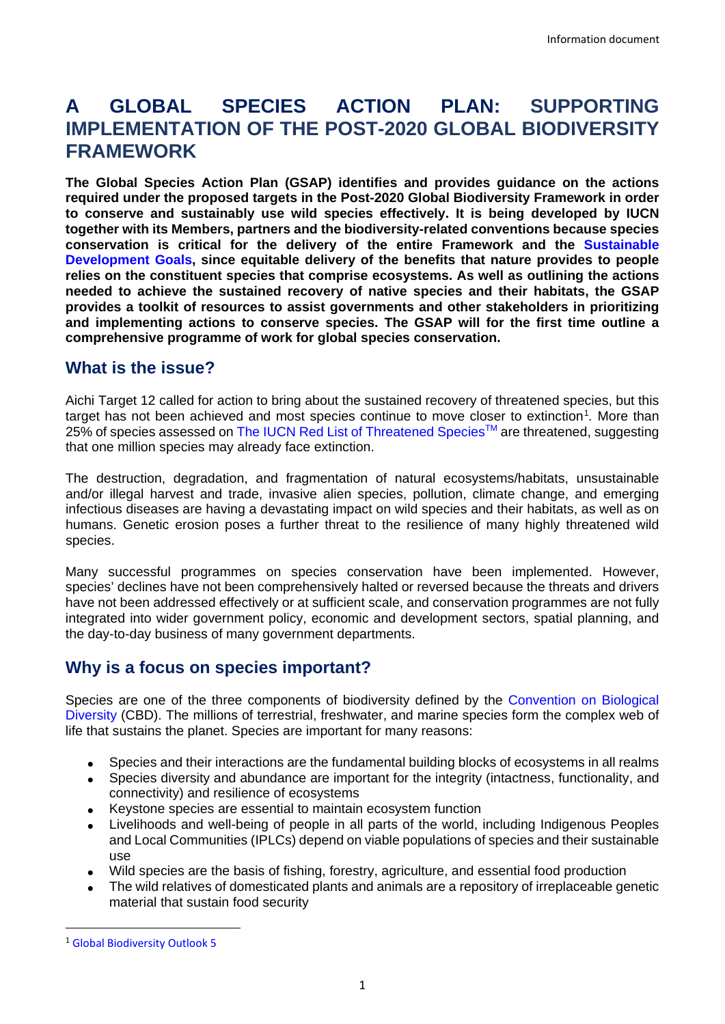# **A GLOBAL SPECIES ACTION PLAN: SUPPORTING IMPLEMENTATION OF THE POST-2020 GLOBAL BIODIVERSITY FRAMEWORK**

**The Global Species Action Plan (GSAP) identifies and provides guidance on the actions required under the proposed targets in the Post-2020 Global Biodiversity Framework in order to conserve and sustainably use wild species effectively. It is being developed by IUCN together with its Members, partners and the biodiversity-related conventions because species conservation is critical for the delivery of the entire Framework and the [Sustainable](https://sdgs.un.org/goals)  [Development Goals,](https://sdgs.un.org/goals) since equitable delivery of the benefits that nature provides to people relies on the constituent species that comprise ecosystems. As well as outlining the actions needed to achieve the sustained recovery of native species and their habitats, the GSAP provides a toolkit of resources to assist governments and other stakeholders in prioritizing and implementing actions to conserve species. The GSAP will for the first time outline a comprehensive programme of work for global species conservation.** 

## **What is the issue?**

Aichi Target 12 called for action to bring about the sustained recovery of threatened species, but this target has not been achieved and most species continue to move closer to extinction<sup>[1](#page-1-0)</sup>. More than 25% of species assessed on The IUCN Red List of Threatened Species™ are threatened, suggesting that one million species may already face extinction.

The destruction, degradation, and fragmentation of natural ecosystems/habitats, unsustainable and/or illegal harvest and trade, invasive alien species, pollution, climate change, and emerging infectious diseases are having a devastating impact on wild species and their habitats, as well as on humans. Genetic erosion poses a further threat to the resilience of many highly threatened wild species.

Many successful programmes on species conservation have been implemented. However, species' declines have not been comprehensively halted or reversed because the threats and drivers have not been addressed effectively or at sufficient scale, and conservation programmes are not fully integrated into wider government policy, economic and development sectors, spatial planning, and the day-to-day business of many government departments.

## **Why is a focus on species important?**

Species are one of the three components of biodiversity defined by the [Convention on Biological](https://www.cbd.int/)  [Diversity](https://www.cbd.int/) (CBD). The millions of terrestrial, freshwater, and marine species form the complex web of life that sustains the planet. Species are important for many reasons:

- Species and their interactions are the fundamental building blocks of ecosystems in all realms
- Species diversity and abundance are important for the integrity (intactness, functionality, and connectivity) and resilience of ecosystems
- Keystone species are essential to maintain ecosystem function
- Livelihoods and well-being of people in all parts of the world, including Indigenous Peoples and Local Communities (IPLCs) depend on viable populations of species and their sustainable use
- Wild species are the basis of fishing, forestry, agriculture, and essential food production
- The wild relatives of domesticated plants and animals are a repository of irreplaceable genetic material that sustain food security

<span id="page-1-0"></span> <sup>1</sup> [Global Biodiversity Outlook 5](https://www.cbd.int/gbo5)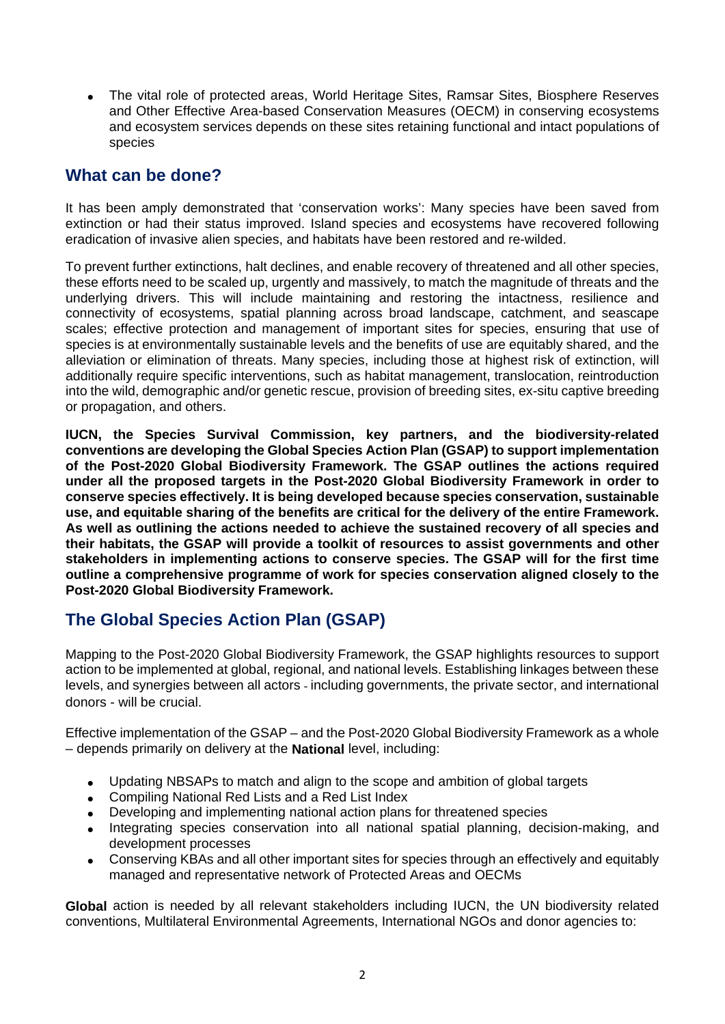• The vital role of protected areas, World Heritage Sites, Ramsar Sites, Biosphere Reserves and Other Effective Area-based Conservation Measures (OECM) in conserving ecosystems and ecosystem services depends on these sites retaining functional and intact populations of species

# **What can be done?**

It has been amply demonstrated that 'conservation works': Many species have been saved from extinction or had their status improved. Island species and ecosystems have recovered following eradication of invasive alien species, and habitats have been restored and re-wilded.

To prevent further extinctions, halt declines, and enable recovery of threatened and all other species, these efforts need to be scaled up, urgently and massively, to match the magnitude of threats and the underlying drivers. This will include maintaining and restoring the intactness, resilience and connectivity of ecosystems, spatial planning across broad landscape, catchment, and seascape scales; effective protection and management of important sites for species, ensuring that use of species is at environmentally sustainable levels and the benefits of use are equitably shared, and the alleviation or elimination of threats. Many species, including those at highest risk of extinction, will additionally require specific interventions, such as habitat management, translocation, reintroduction into the wild, demographic and/or genetic rescue, provision of breeding sites, ex-situ captive breeding or propagation, and others.

**IUCN, the Species Survival Commission, key partners, and the biodiversity-related conventions are developing the Global Species Action Plan (GSAP) to support implementation of the Post-2020 Global Biodiversity Framework. The GSAP outlines the actions required under all the proposed targets in the Post-2020 Global Biodiversity Framework in order to conserve species effectively. It is being developed because species conservation, sustainable use, and equitable sharing of the benefits are critical for the delivery of the entire Framework. As well as outlining the actions needed to achieve the sustained recovery of all species and their habitats, the GSAP will provide a toolkit of resources to assist governments and other stakeholders in implementing actions to conserve species. The GSAP will for the first time outline a comprehensive programme of work for species conservation aligned closely to the Post-2020 Global Biodiversity Framework.**

# **The Global Species Action Plan (GSAP)**

Mapping to the Post-2020 Global Biodiversity Framework, the GSAP highlights resources to support action to be implemented at global, regional, and national levels. Establishing linkages between these levels, and synergies between all actors - including governments, the private sector, and international donors - will be crucial.

Effective implementation of the GSAP – and the Post-2020 Global Biodiversity Framework as a whole – depends primarily on delivery at the **National** level, including:

- Updating NBSAPs to match and align to the scope and ambition of global targets
- Compiling National Red Lists and a Red List Index
- Developing and implementing national action plans for threatened species
- Integrating species conservation into all national spatial planning, decision-making, and development processes
- Conserving KBAs and all other important sites for species through an effectively and equitably managed and representative network of Protected Areas and OECMs

**Global** action is needed by all relevant stakeholders including IUCN, the UN biodiversity related conventions, Multilateral Environmental Agreements, International NGOs and donor agencies to: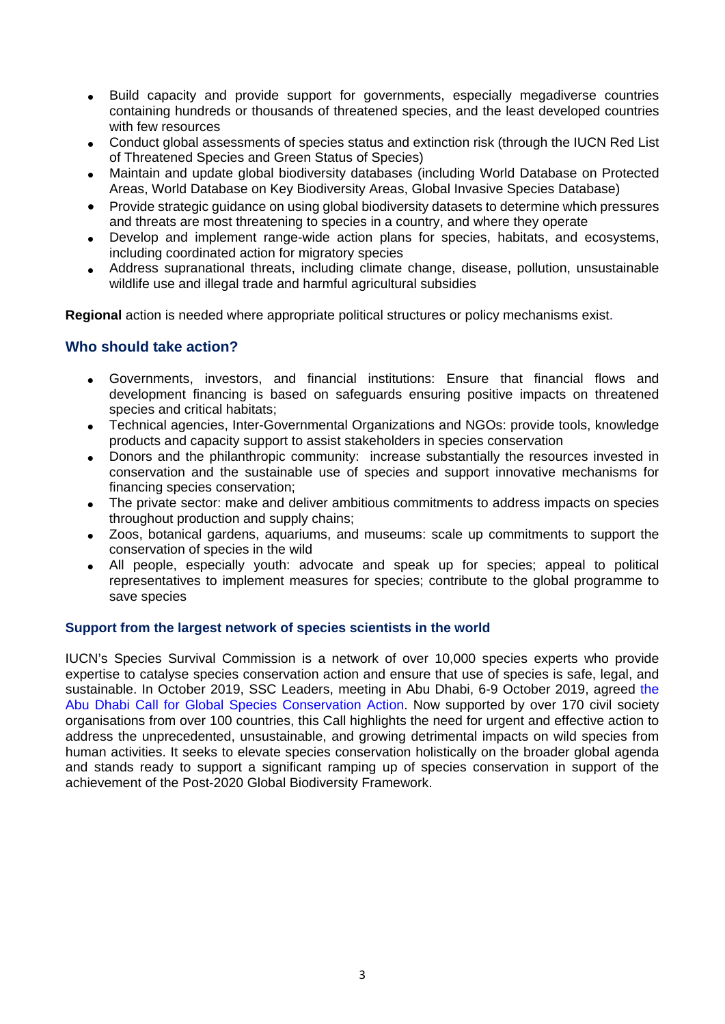- Build capacity and provide support for governments, especially megadiverse countries containing hundreds or thousands of threatened species, and the least developed countries with few resources
- Conduct global assessments of species status and extinction risk (through the IUCN Red List of Threatened Species and Green Status of Species)
- Maintain and update global biodiversity databases (including World Database on Protected Areas, World Database on Key Biodiversity Areas, Global Invasive Species Database)
- Provide strategic guidance on using global biodiversity datasets to determine which pressures and threats are most threatening to species in a country, and where they operate
- Develop and implement range-wide action plans for species, habitats, and ecosystems, including coordinated action for migratory species
- Address supranational threats, including climate change, disease, pollution, unsustainable wildlife use and illegal trade and harmful agricultural subsidies

**Regional** action is needed where appropriate political structures or policy mechanisms exist.

### **Who should take action?**

- Governments, investors, and financial institutions: Ensure that financial flows and development financing is based on safeguards ensuring positive impacts on threatened species and critical habitats;
- Technical agencies, Inter-Governmental Organizations and NGOs: provide tools, knowledge products and capacity support to assist stakeholders in species conservation
- Donors and the philanthropic community: increase substantially the resources invested in conservation and the sustainable use of species and support innovative mechanisms for financing species conservation;
- The private sector: make and deliver ambitious commitments to address impacts on species throughout production and supply chains;
- Zoos, botanical gardens, aquariums, and museums: scale up commitments to support the conservation of species in the wild
- All people, especially youth: advocate and speak up for species; appeal to political representatives to implement measures for species; contribute to the global programme to save species

#### **Support from the largest network of species scientists in the world**

IUCN's Species Survival Commission is a network of over 10,000 species experts who provide expertise to catalyse species conservation action and ensure that use of species is safe, legal, and sustainable. In October 2019, SSC Leaders, meeting in Abu Dhabi, 6-9 October 2019, agreed [the](https://www.iucn.org/commissions/species-survival-commission/get-involved/abu-dhabi-call-global-species-conservation-action)  [Abu Dhabi Call for Global Species Conservation Action.](https://www.iucn.org/commissions/species-survival-commission/get-involved/abu-dhabi-call-global-species-conservation-action) Now supported by over 170 civil society organisations from over 100 countries, this Call highlights the need for urgent and effective action to address the unprecedented, unsustainable, and growing detrimental impacts on wild species from human activities. It seeks to elevate species conservation holistically on the broader global agenda and stands ready to support a significant ramping up of species conservation in support of the achievement of the Post-2020 Global Biodiversity Framework.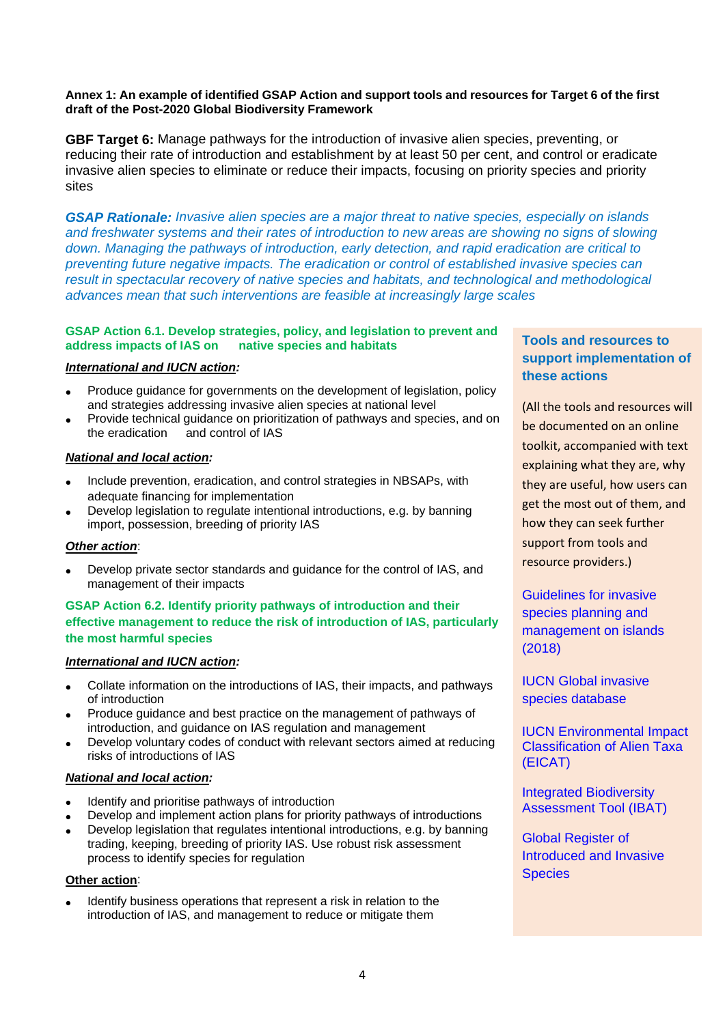#### **Annex 1: An example of identified GSAP Action and support tools and resources for Target 6 of the first draft of the Post-2020 Global Biodiversity Framework**

**GBF Target 6:** Manage pathways for the introduction of invasive alien species, preventing, or reducing their rate of introduction and establishment by at least 50 per cent, and control or eradicate invasive alien species to eliminate or reduce their impacts, focusing on priority species and priority sites

*GSAP Rationale: Invasive alien species are a major threat to native species, especially on islands and freshwater systems and their rates of introduction to new areas are showing no signs of slowing down. Managing the pathways of introduction, early detection, and rapid eradication are critical to preventing future negative impacts. The eradication or control of established invasive species can result in spectacular recovery of native species and habitats, and technological and methodological advances mean that such interventions are feasible at increasingly large scales*

#### **GSAP Action 6.1. Develop strategies, policy, and legislation to prevent and address impacts of IAS on native species and habitats**

#### *International and IUCN action:*

- Produce guidance for governments on the development of legislation, policy and strategies addressing invasive alien species at national level
- Provide technical guidance on prioritization of pathways and species, and on the eradication and control of IAS

#### *National and local action:*

- Include prevention, eradication, and control strategies in NBSAPs, with adequate financing for implementation
- Develop legislation to regulate intentional introductions, e.g. by banning import, possession, breeding of priority IAS

#### *Other action*:

• Develop private sector standards and guidance for the control of IAS, and management of their impacts

#### **GSAP Action 6.2. Identify priority pathways of introduction and their effective management to reduce the risk of introduction of IAS, particularly the most harmful species**

#### *International and IUCN action:*

- Collate information on the introductions of IAS, their impacts, and pathways of introduction
- Produce guidance and best practice on the management of pathways of introduction, and guidance on IAS regulation and management
- Develop voluntary codes of conduct with relevant sectors aimed at reducing risks of introductions of IAS

#### *National and local action:*

- Identify and prioritise pathways of introduction
- Develop and implement action plans for priority pathways of introductions
- Develop legislation that regulates intentional introductions, e.g. by banning trading, keeping, breeding of priority IAS. Use robust risk assessment process to identify species for regulation

#### **Other action**:

• Identify business operations that represent a risk in relation to the introduction of IAS, and management to reduce or mitigate them

### **Tools and resources to support implementation of these actions**

(All the tools and resources will be documented on an online toolkit, accompanied with text explaining what they are, why they are useful, how users can get the most out of them, and how they can seek further support from tools and resource providers.)

[Guidelines for invasive](https://www.iucn.org/theme/species/our-work/invasive-species/islands-ias-guidance) [species planning and](https://www.iucn.org/theme/species/our-work/invasive-species/islands-ias-guidance) [management on islands](https://www.iucn.org/theme/species/our-work/invasive-species/islands-ias-guidance)  [\(2018\)](https://www.iucn.org/theme/species/our-work/invasive-species/islands-ias-guidance)

[IUCN Global invasive](http://www.iucngisd.org/gisd/)  [species database](http://www.iucngisd.org/gisd/)

[IUCN Environmental Impact](https://portals.iucn.org/library/node/49101)  [Classification of Alien Taxa](https://portals.iucn.org/library/node/49101)  [\(EICAT\)](https://portals.iucn.org/library/node/49101)

[Integrated Biodiversity](https://www.ibat-alliance.org/)  [Assessment Tool \(IBAT\)](https://www.ibat-alliance.org/)

[Global Register of](http://griis.org/)  [Introduced and Invasive](http://griis.org/)  **[Species](http://griis.org/)**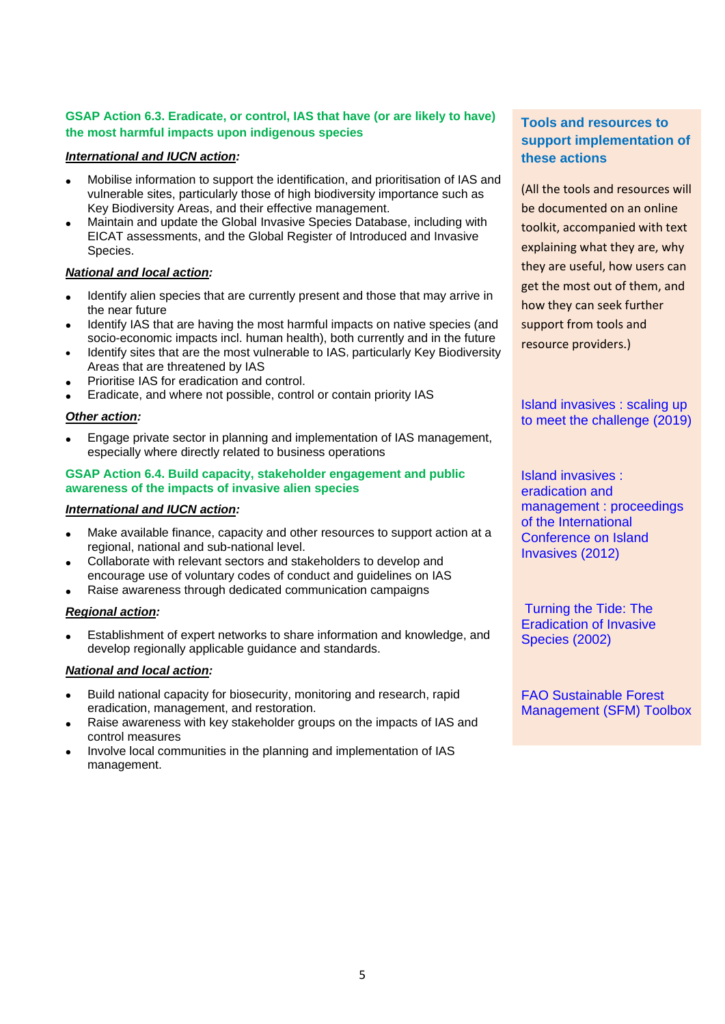#### **GSAP Action 6.3. Eradicate, or control, IAS that have (or are likely to have) the most harmful impacts upon indigenous species**

#### *International and IUCN action:*

- Mobilise information to support the identification, and prioritisation of IAS and vulnerable sites, particularly those of high biodiversity importance such as Key Biodiversity Areas, and their effective management.
- Maintain and update the Global Invasive Species Database, including with EICAT assessments, and the Global Register of Introduced and Invasive Species.

#### *National and local action:*

- Identify alien species that are currently present and those that may arrive in the near future
- Identify IAS that are having the most harmful impacts on native species (and socio-economic impacts incl. human health), both currently and in the future
- Identify sites that are the most vulnerable to IAS, particularly Key Biodiversity Areas that are threatened by IAS
- Prioritise IAS for eradication and control.
- Eradicate, and where not possible, control or contain priority IAS

#### *Other action:*

• Engage private sector in planning and implementation of IAS management, especially where directly related to business operations

#### **GSAP Action 6.4. Build capacity, stakeholder engagement and public awareness of the impacts of invasive alien species**

#### *International and IUCN action:*

- Make available finance, capacity and other resources to support action at a regional, national and sub-national level.
- Collaborate with relevant sectors and stakeholders to develop and encourage use of voluntary codes of conduct and guidelines on IAS
- Raise awareness through dedicated communication campaigns

#### *Regional action:*

• Establishment of expert networks to share information and knowledge, and develop regionally applicable guidance and standards.

#### *National and local action:*

- Build national capacity for biosecurity, monitoring and research, rapid eradication, management, and restoration.
- Raise awareness with key stakeholder groups on the impacts of IAS and control measures
- Involve local communities in the planning and implementation of IAS management.

### **Tools and resources to support implementation of these actions**

(All the tools and resources will be documented on an online toolkit, accompanied with text explaining what they are, why they are useful, how users can get the most out of them, and how they can seek further support from tools and resource providers.)

[Island invasives : scaling up](https://portals.iucn.org/library/node/48358)  [to meet the challenge \(2019\)](https://portals.iucn.org/library/node/48358)

[Island invasives :](https://portals.iucn.org/library/node/10038)  [eradication and](https://portals.iucn.org/library/node/10038)  [management : proceedings](https://portals.iucn.org/library/node/10038)  [of the International](https://portals.iucn.org/library/node/10038)  [Conference on Island](https://portals.iucn.org/library/node/10038)  [Invasives](https://portals.iucn.org/library/node/10038) (2012)

[Turning the Tide: The](https://portals.iucn.org/library/efiles/documents/ssc-op-028.pdf)  [Eradication of Invasive](https://portals.iucn.org/library/efiles/documents/ssc-op-028.pdf)  [Species \(2002\)](https://portals.iucn.org/library/efiles/documents/ssc-op-028.pdf)

[FAO Sustainable Forest](http://www.fao.org/sustainable-forest-management/toolbox/cases/case-detail/en/c/232138/)  [Management \(SFM\) Toolbox](http://www.fao.org/sustainable-forest-management/toolbox/cases/case-detail/en/c/232138/)